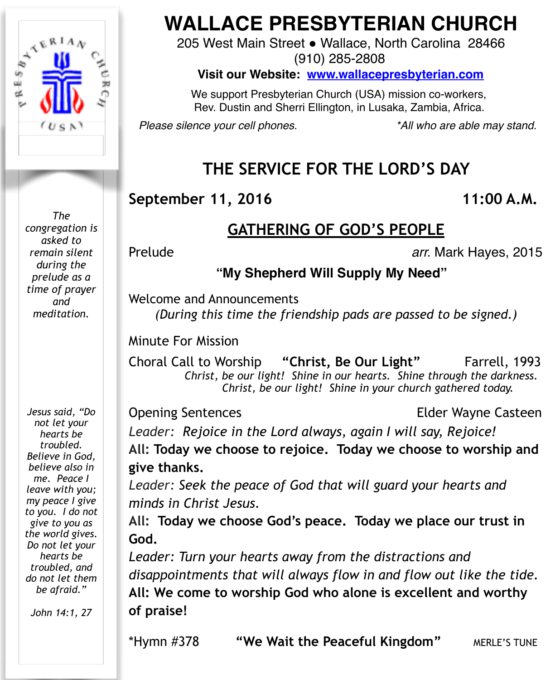

*The congregation is asked to remain silent during the prelude as a time of prayer and meditation.*

*Jesus said, "Do not let your hearts be troubled. Believe in God, believe also in me. Peace I leave with you; my peace I give to you. I do not give to you as the world gives. Do not let your hearts be troubled, and do not let them be afraid."* 

*John 14:1, 27* 

# **WALLACE PRESBYTERIAN CHURCH**

205 West Main Street . Wallace, North Carolina 28466 (910) 285-2808

**Visit our Website: [www.wallacepresbyterian.com](http://www.wallacepresbyterian.com)**

 We support Presbyterian Church (USA) mission co-workers, Rev. Dustin and Sherri Ellington, in Lusaka, Zambia, Africa.

*Please silence your cell phones. \*All who are able may stand.*

# **THE SERVICE FOR THE LORD'S DAY**

# **September 11, 2016** 11:00 A.M.

# **GATHERING OF GOD'S PEOPLE**

Prelude *arr.* Mark Hayes, 2015

### **"My Shepherd Will Supply My Need"**

Welcome and Announcements *(During this time the friendship pads are passed to be signed.)*

Minute For Mission

Choral Call to Worship **"Christ, Be Our Light"** Farrell, 1993 *Christ, be our light! Shine in our hearts. Shine through the darkness. Christ, be our light! Shine in your church gathered today.* 

Opening Sentences Elder Wayne Casteen

*Leader: Rejoice in the Lord always, again I will say, Rejoice!* **All: Today we choose to rejoice. Today we choose to worship and give thanks.**

*Leader: Seek the peace of God that will guard your hearts and minds in Christ Jesus.*

**All: Today we choose God's peace. Today we place our trust in God.**

*Leader: Turn your hearts away from the distractions and disappointments that will always flow in and flow out like the tide.* **All: We come to worship God who alone is excellent and worthy of praise!**

\*Hymn #378 **"We Wait the Peaceful Kingdom"** MERLE'S TUNE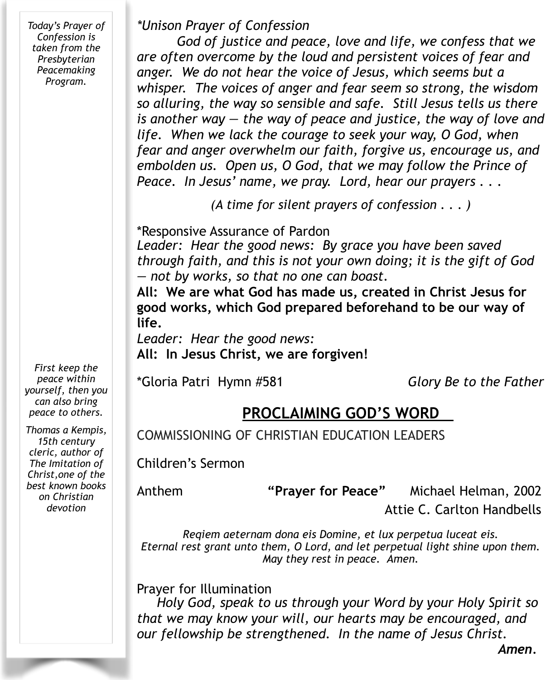*Today's Prayer of Confession is taken from the Presbyterian Peacemaking Program.* 

#### *\*Unison Prayer of Confession*

*God of justice and peace, love and life, we confess that we are often overcome by the loud and persistent voices of fear and anger. We do not hear the voice of Jesus, which seems but a whisper. The voices of anger and fear seem so strong, the wisdom so alluring, the way so sensible and safe. Still Jesus tells us there is another way — the way of peace and justice, the way of love and life. When we lack the courage to seek your way, O God, when fear and anger overwhelm our faith, forgive us, encourage us, and embolden us. Open us, O God, that we may follow the Prince of Peace. In Jesus' name, we pray. Lord, hear our prayers . . .* 

*(A time for silent prayers of confession . . . )* 

\*Responsive Assurance of Pardon

*Leader: Hear the good news: By grace you have been saved through faith, and this is not your own doing; it is the gift of God — not by works, so that no one can boast.* 

**All: We are what God has made us, created in Christ Jesus for good works, which God prepared beforehand to be our way of life.** 

*Leader: Hear the good news:*  **All: In Jesus Christ, we are forgiven!** 

\*Gloria Patri Hymn #581 *Glory Be to the Father*

# **PROCLAIMING GOD'S WORD**

COMMISSIONING OF CHRISTIAN EDUCATION LEADERS

Children's Sermon

Anthem **"Prayer for Peace"** Michael Helman, 2002 Attie C. Carlton Handbells

*Reqiem aeternam dona eis Domine, et lux perpetua luceat eis. Eternal rest grant unto them, O Lord, and let perpetual light shine upon them. May they rest in peace. Amen.* 

Prayer for Illumination

 *Holy God, speak to us through your Word by your Holy Spirit so that we may know your will, our hearts may be encouraged, and our fellowship be strengthened. In the name of Jesus Christ.* 

*First keep the peace within yourself, then you can also bring peace to others.*

*Thomas a Kempis, 15th century cleric, author of The Imitation of Christ,one of the best known books on Christian devotion*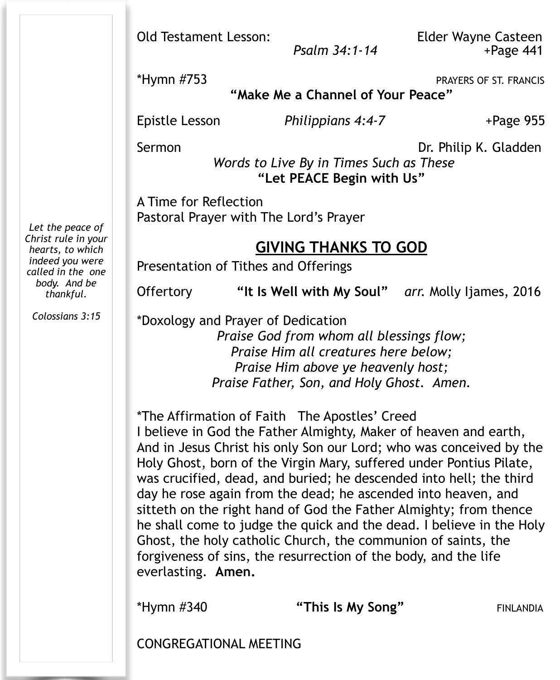**Psalm 34:1-14** 

Old Testament Lesson:<br>Psalm 34:1-14 + Page 441

\*Hymn #753 PRAYERS OF ST. FRANCIS

**"Make Me a Channel of Your Peace"**

Epistle Lesson **Philippians 4:4-7** + Page 955

Sermon **Dr. Philip K. Gladden** 

 *Words to Live By in Times Such as These* **"Let PEACE Begin with Us"** 

A Time for Reflection Pastoral Prayer with The Lord's Prayer

# **GIVING THANKS TO GOD**

Presentation of Tithes and Offerings

Offertory **"It Is Well with My Soul"** *arr.* Molly Ijames, 2016

\*Doxology and Prayer of Dedication

*Praise God from whom all blessings flow; Praise Him all creatures here below; Praise Him above ye heavenly host; Praise Father, Son, and Holy Ghost. Amen.*

\*The Affirmation of Faith The Apostles' Creed I believe in God the Father Almighty, Maker of heaven and earth, And in Jesus Christ his only Son our Lord; who was conceived by the Holy Ghost, born of the Virgin Mary, suffered under Pontius Pilate, was crucified, dead, and buried; he descended into hell; the third day he rose again from the dead; he ascended into heaven, and sitteth on the right hand of God the Father Almighty; from thence he shall come to judge the quick and the dead. I believe in the Holy Ghost, the holy catholic Church, the communion of saints, the forgiveness of sins, the resurrection of the body, and the life everlasting. **Amen.**

\*Hymn #340 **"This Is My Song"** FINLANDIA

CONGREGATIONAL MEETING

*Let the peace of Christ rule in your hearts, to which indeed you were called in the one body. And be thankful.* 

*Colossians 3:15*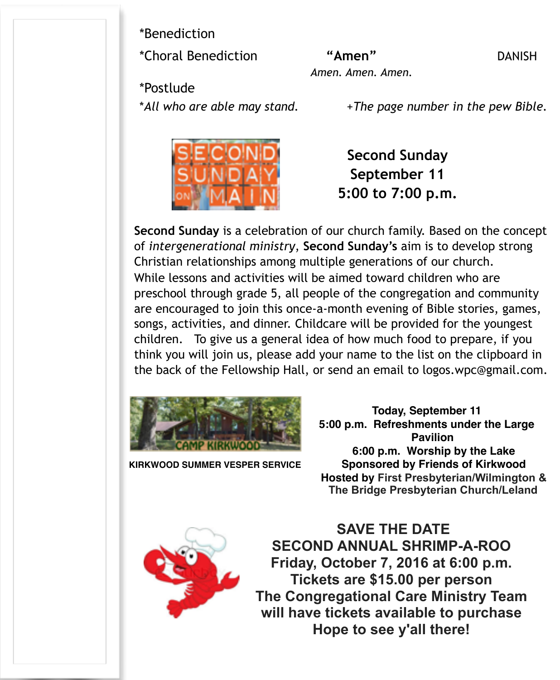\*Benediction !!!!!

\*Choral Benediction **"Amen"** DANISH

*Amen. Amen. Amen.*

\*Postlude

\**All who are able may stand.* +*The page number in the pew Bible.*



**Second Sunday September 11 5:00 to 7:00 p.m.** 

**Second Sunday** is a celebration of our church family. Based on the concept of *intergenerational ministry*, **Second Sunday's** aim is to develop strong Christian relationships among multiple generations of our church. While lessons and activities will be aimed toward children who are preschool through grade 5, all people of the congregation and community are encouraged to join this once-a-month evening of Bible stories, games, songs, activities, and dinner. Childcare will be provided for the youngest children. To give us a general idea of how much food to prepare, if you think you will join us, please add your name to the list on the clipboard in the back of the Fellowship Hall, or send an email to [logos.wpc@gmail.com](mailto:logos.wpc@gmail.com).



**KIRKWOOD SUMMER VESPER SERVICE**

**Today, September 11 5:00 p.m. Refreshments under the Large Pavilion 6:00 p.m. Worship by the Lake Sponsored by Friends of Kirkwood Hosted by First Presbyterian/Wilmington & The Bridge Presbyterian Church/Leland** 



 **SAVE THE DATE SECOND ANNUAL SHRIMP-A-ROO Friday, October 7, 2016 at 6:00 p.m. Tickets are \$15.00 per person The Congregational Care Ministry Team will have tickets available to purchase Hope to see y'all there!**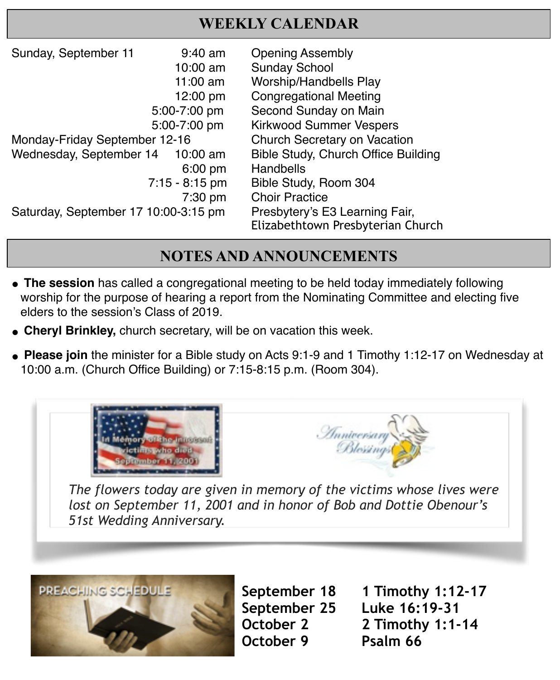# **WEEKLY CALENDAR**

| Sunday, September 11                 | $9:40$ am    | <b>Opening Assembly</b>                                             |
|--------------------------------------|--------------|---------------------------------------------------------------------|
|                                      | $10:00$ am   | <b>Sunday School</b>                                                |
|                                      | 11:00 $am$   | <b>Worship/Handbells Play</b>                                       |
|                                      | 12:00 pm     | <b>Congregational Meeting</b>                                       |
|                                      | 5:00-7:00 pm | Second Sunday on Main                                               |
|                                      | 5:00-7:00 pm | <b>Kirkwood Summer Vespers</b>                                      |
| Monday-Friday September 12-16        |              | Church Secretary on Vacation                                        |
| Wednesday, September 14              | $10:00$ am   | Bible Study, Church Office Building                                 |
|                                      | $6:00$ pm    | Handbells                                                           |
| $7:15 - 8:15$ pm                     |              | Bible Study, Room 304                                               |
|                                      | $7:30$ pm    | <b>Choir Practice</b>                                               |
| Saturday, September 17 10:00-3:15 pm |              | Presbytery's E3 Learning Fair,<br>Elizabethtown Presbyterian Church |

# **NOTES AND ANNOUNCEMENTS**

- **The session** has called a congregational meeting to be held today immediately following worship for the purpose of hearing a report from the Nominating Committee and electing five elders to the session's Class of 2019.
- **Cheryl Brinkley,** church secretary, will be on vacation this week.
- " **Please join** the minister for a Bible study on Acts 9:1-9 and 1 Timothy 1:12-17 on Wednesday at 10:00 a.m. (Church Office Building) or 7:15-8:15 p.m. (Room 304).





*The flowers today are given in memory of the victims whose lives were lost on September 11, 2001 and in honor of Bob and Dottie Obenour's 51st Wedding Anniversary.*



**October 9 Psalm 66**

**September 18 1 Timothy 1:12-17 September 25 Luke 16:19-31 October 2 2 Timothy 1:1-14**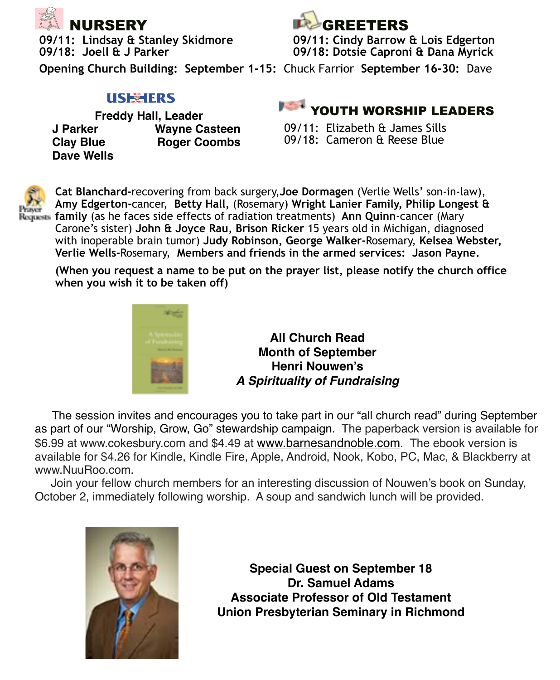

**09/11: Lindsay & Stanley Skidmore <br>09/18: Joell & J Parker** 



**IDENTY**<br>
Lindsay & Stanley Skidmore **GREETERS**<br>
COMPTIC Cindy Barrow & Lois Edgerton 09/18: Dotsie Caproni & Dana Myrick

**Opening Church Building: September 1-15:** Chuck Farrior **September 16-30:** Dave

#### **USE HERS**

| <b>Freddy Hall, Leader</b> |                      |  |
|----------------------------|----------------------|--|
| J Parker                   | <b>Wayne Casteen</b> |  |
| <b>Clay Blue</b>           | <b>Roger Coombs</b>  |  |
| Dave Wells                 |                      |  |

# YOUTH WORSHIP LEADERS

09/11: Elizabeth & James Sills 09/18: Cameron & Reese Blue



**Cat Blanchard-**recovering from back surgery,**Joe Dormagen** (Verlie Wells' son-in-law), **Amy Edgerton-**cancer, **Betty Hall,** (Rosemary) **Wright Lanier Family, Philip Longest & family** (as he faces side effects of radiation treatments) **Ann Quinn**-cancer (Mary Carone's sister) **John & Joyce Rau**, **Brison Ricker** 15 years old in Michigan, diagnosed with inoperable brain tumor) **Judy Robinson, George Walker-**Rosemary, **Kelsea Webster, Verlie Wells-**Rosemary, **Members and friends in the armed services: Jason Payne.** 

**(When you request a name to be put on the prayer list, please notify the church office when you wish it to be taken off)** 



**All Church Read Month of September Henri Nouwen's**  *A Spirituality of Fundraising*

The session invites and encourages you to take part in our "all church read" during September as part of our "Worship, Grow, Go" stewardship campaign. The paperback version is available for \$6.99 at [www.cokesbury.com](http://www.cokesbury.com) and \$4.49 at [www.barnesandnoble.com](http://www.barnesandnoble.com). The ebook version is available for \$4.26 for Kindle, Kindle Fire, Apple, Android, Nook, Kobo, PC, Mac, & Blackberry at [www.NuuRoo.com.](http://www.NuuRoo.com)

 Join your fellow church members for an interesting discussion of Nouwen's book on Sunday, October 2, immediately following worship. A soup and sandwich lunch will be provided.



**Special Guest on September 18 Dr. Samuel Adams Associate Professor of Old Testament Union Presbyterian Seminary in Richmond**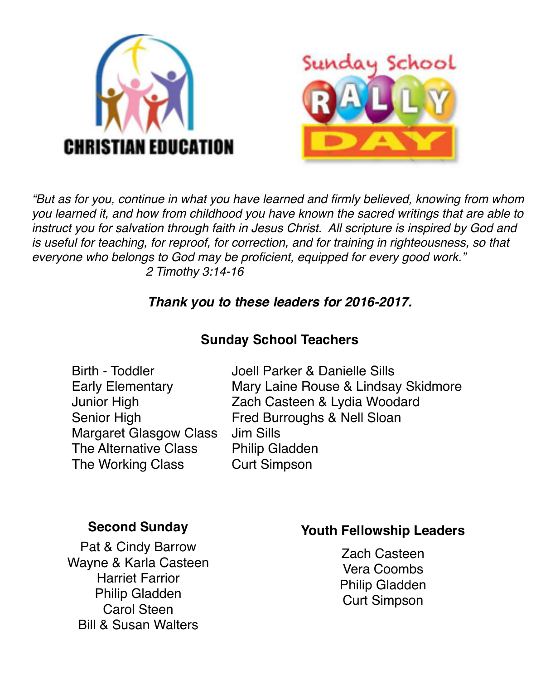

*"But as for you, continue in what you have learned and firmly believed, knowing from whom you learned it, and how from childhood you have known the sacred writings that are able to instruct you for salvation through faith in Jesus Christ. All scripture is inspired by God and is useful for teaching, for reproof, for correction, and for training in righteousness, so that everyone who belongs to God may be proficient, equipped for every good work."* ! ! *2 Timothy 3:14-16*

### *Thank you to these leaders for 2016-2017.*

### **Sunday School Teachers**

Margaret Glasgow Class Jim Sills The Alternative Class Philip Gladden The Working Class **Curt Simpson** 

Birth - Toddler **Bills** Islands Joell Parker & Danielle Sills Early Elementary Mary Laine Rouse & Lindsay Skidmore Junior High **2**ach Casteen & Lydia Woodard Senior High **Example 2** Fred Burroughs & Nell Sloan

#### **Second Sunday**

Pat & Cindy Barrow Wayne & Karla Casteen Harriet Farrior Philip Gladden Carol Steen Bill & Susan Walters

#### **Youth Fellowship Leaders**

Zach Casteen Vera Coombs Philip Gladden Curt Simpson